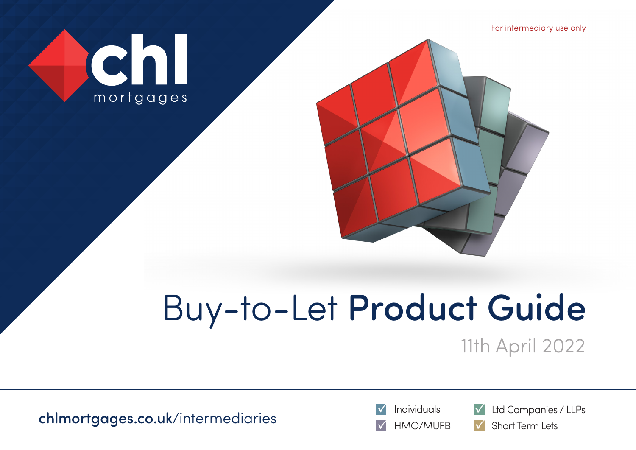For intermediary use only





# Buy-to-Let Product Guide

11th April 2022

 $\frac{1}{\sqrt{2}}$  Individuals  $\frac{1}{\sqrt{2}}$  Ltd Companies / LLPs





Short Term Lets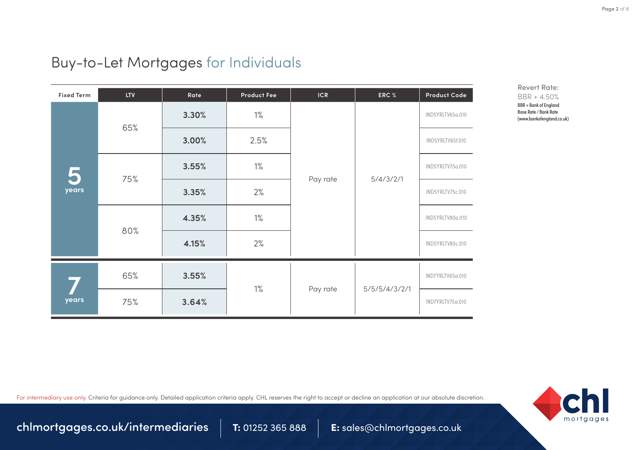Revert Rate: BBR + 4.50% BBR = Bank of England Base Rate / Bank Rate (www.bankofengland.co.uk)

## Buy-to-Let Mortgages for Individuals

| <b>Fixed Term</b> | <b>LTV</b> | Rate  | <b>Product Fee</b> | <b>ICR</b> | ERC %         | Product Code     |
|-------------------|------------|-------|--------------------|------------|---------------|------------------|
|                   | 65%        | 3.30% | $1\%$              | Pay rate   | 5/4/3/2/1     | IND5YRLTV65a.010 |
|                   |            | 3.00% | 2.5%               |            |               | IND5YRLTV65f.010 |
| 5                 | 75%        | 3.55% | $1\%$              |            |               | IND5YRLTV75a.010 |
| years             |            | 3.35% | 2%                 |            |               | IND5YRLTV75c.010 |
|                   | 80%        | 4.35% | $1\%$              |            |               | IND5YRLTV80a.010 |
|                   |            | 4.15% | 2%                 |            |               | IND5YRLTV80c.010 |
| years             | 65%<br>75% | 3.55% | $1\%$              |            | 5/5/5/4/3/2/1 | IND7YRLTV65a.010 |
|                   |            | 3.64% |                    | Pay rate   |               | IND7YRLTV75a.010 |

For intermediary use only. Criteria for quidance only. Detailed application criteria apply. CHL reserves the right to accept or decline an application at our absolute discretion.



[chlmortgages.co.uk/intermediaries](http://www.chlmortgages.co.uk) 1: 01252 365 888 E: sales@chlmortgages.co.uk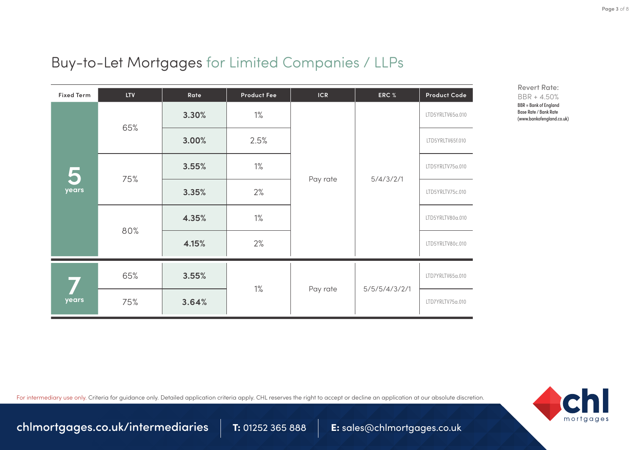# Buy-to-Let Mortgages for Limited Companies / LLPs

| <b>Fixed Term</b> | <b>LTV</b> | Rate  | <b>Product Fee</b> | <b>ICR</b> | ERC %         | <b>Product Code</b> |
|-------------------|------------|-------|--------------------|------------|---------------|---------------------|
| years             | 65%        | 3.30% | $1\%$              | Pay rate   | 5/4/3/2/1     | LTD5YRLTV65a.010    |
|                   |            | 3.00% | 2.5%               |            |               | LTD5YRLTV65f.010    |
|                   | 75%        | 3.55% | $1\%$              |            |               | LTD5YRLTV75a.010    |
|                   |            | 3.35% | 2%                 |            |               | LTD5YRLTV75c.010    |
|                   | 80%        | 4.35% | $1\%$              |            |               | LTD5YRLTV80a.010    |
|                   |            | 4.15% | 2%                 |            |               | LTD5YRLTV80c.010    |
| years             | 65%        | 3.55% |                    |            | 5/5/5/4/3/2/1 | LTD7YRLTV65a.010    |
|                   | 75%        | 3.64% | $1\%$              | Pay rate   |               | LTD7YRLTV75a.010    |

For intermediary use only. Criteria for guidance only. Detailed application criteria apply. CHL reserves the right to accept or decline an application at our absolute discretion.



**Page 3** of 8

[chlmortgages.co.uk/intermediaries](http://www.chlmortgages.co.uk) 1: 01252 365 888 E: sales@chlmortgages.co.uk

Revert Rate: BBR + 4.50% BBR = Bank of England Base Rate / Bank Rate (www.bankofengland.co.uk)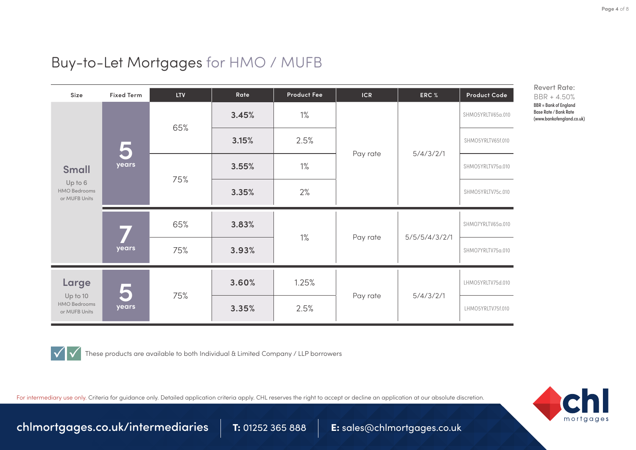### Buy-to-Let Mortgages for HMO / MUFB

| Size                                                      | <b>Fixed Term</b> | <b>LTV</b> | Rate           | <b>Product Fee</b> | <b>ICR</b>        | ERC %     | Product Code      |
|-----------------------------------------------------------|-------------------|------------|----------------|--------------------|-------------------|-----------|-------------------|
|                                                           |                   | 65%        | $1\%$<br>3.45% |                    | SHMO5YRLTV65a.010 |           |                   |
|                                                           | 5                 |            | 3.15%          | 2.5%               |                   | 5/4/3/2/1 | SHMO5YRLTV65f.010 |
| <b>Small</b>                                              | years             | 75%        | 3.55%          | $1\%$              | Pay rate          |           | SHMO5YRLTV75a.010 |
| Up to 6<br><b>HMO Bedrooms</b><br>or MUFB Units           |                   |            | 3.35%          | 2%                 |                   |           | SHMO5YRLTV75c.010 |
|                                                           |                   | 65%        | 3.83%          |                    |                   |           | SHMO7YRLTV65a.010 |
|                                                           | years             |            | 75%            | 3.93%              | $1\%$             | Pay rate  | 5/5/5/4/3/2/1     |
| Large<br>Up to 10<br><b>HMO Bedrooms</b><br>or MUFB Units | years             |            | 3.60%          | 1.25%              |                   |           | LHMO5YRLTV75d.010 |
|                                                           |                   | 75%        | 3.35%          | 2.5%               | Pay rate          | 5/4/3/2/1 | LHMO5YRLTV75f.010 |



These products are available to both Individual & Limited Company / LLP borrowers

For intermediary use only. Criteria for quidance only. Detailed application criteria apply. CHL reserves the right to accept or decline an application at our absolute discretion.



**Page 4** of 8

[chlmortgages.co.uk/intermediaries](http://www.chlmortgages.co.uk) 1: 01252 365 888 E: sales@chlmortgages.co.uk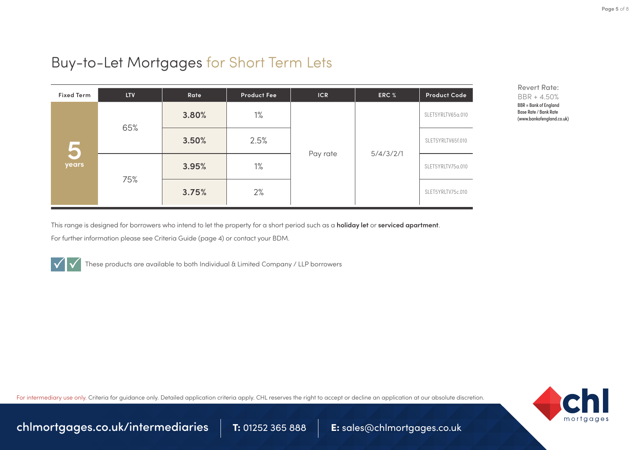## Buy-to-Let Mortgages for Short Term Lets

| <b>Fixed Term</b> | <b>LTV</b> | Rate  | <b>Product Fee</b> | ICR      | ERC %     | <b>Product Code</b> |
|-------------------|------------|-------|--------------------|----------|-----------|---------------------|
| 5<br>years        | 65%        | 3.80% | $1\%$              | Pay rate | 5/4/3/2/1 | SLET5YRLTV65a.010   |
|                   |            | 3.50% | 2.5%               |          |           | SLET5YRLTV65f.010   |
|                   | 75%        | 3.95% | $1\%$              |          |           | SLET5YRLTV75a.010   |
|                   |            | 3.75% | 2%                 |          |           | SLET5YRLTV75c.010   |

Revert Rate: BBR + 4.50% BBR = Bank of England Base Rate / Bank Rate (www.bankofengland.co.uk)

This range is designed for borrowers who intend to let the property for a short period such as a **holiday let** or **serviced apartment**.

For further information please see Criteria Guide (page 4) or [contact your BDM](https://www.chlmortgages.co.uk/intermediaries/team/).



These products are available to both Individual & Limited Company / LLP borrowers

For intermediary use only. Criteria for quidance only. Detailed application criteria apply. CHL reserves the right to accept or decline an application at our absolute discretion.



[chlmortgages.co.uk/intermediaries](http://www.chlmortgages.co.uk) 7: 01252 365 888 E: sales@chlmortgages.co.uk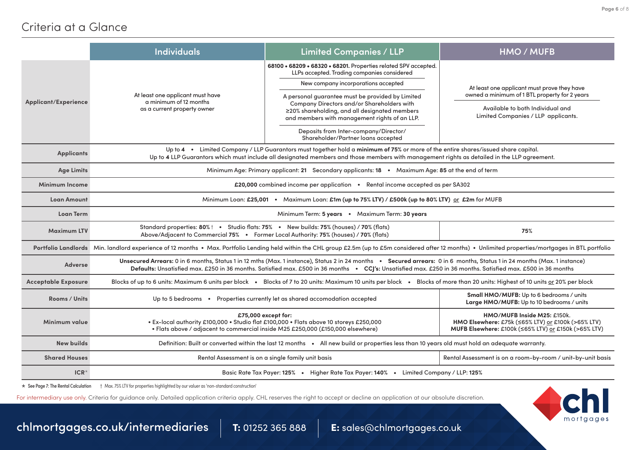#### Criteria at a Glance

|                            | <b>Individuals</b>                                                                                                                                                                                                                                                                                                                            | <b>Limited Companies / LLP</b>                                                                                                                                                                                                                                                                                                           | <b>HMO / MUFB</b>                                                       |  |  |  |  |
|----------------------------|-----------------------------------------------------------------------------------------------------------------------------------------------------------------------------------------------------------------------------------------------------------------------------------------------------------------------------------------------|------------------------------------------------------------------------------------------------------------------------------------------------------------------------------------------------------------------------------------------------------------------------------------------------------------------------------------------|-------------------------------------------------------------------------|--|--|--|--|
|                            |                                                                                                                                                                                                                                                                                                                                               | 68100 • 68209 • 68320 • 68201. Properties related SPV accepted.<br>LLPs accepted. Trading companies considered                                                                                                                                                                                                                           |                                                                         |  |  |  |  |
|                            |                                                                                                                                                                                                                                                                                                                                               | New company incorporations accepted                                                                                                                                                                                                                                                                                                      | At least one applicant must prove they have                             |  |  |  |  |
| Applicant/Experience       | At least one applicant must have<br>a minimum of 12 months                                                                                                                                                                                                                                                                                    | A personal guarantee must be provided by Limited                                                                                                                                                                                                                                                                                         | owned a minimum of 1 BTL property for 2 years                           |  |  |  |  |
|                            | as a current property owner                                                                                                                                                                                                                                                                                                                   | Company Directors and/or Shareholders with<br>≥20% shareholding, and all designated members<br>and members with management rights of an LLP.                                                                                                                                                                                             | Available to both Individual and<br>Limited Companies / LLP applicants. |  |  |  |  |
|                            |                                                                                                                                                                                                                                                                                                                                               | Deposits from Inter-company/Director/<br>Shareholder/Partner loans accepted                                                                                                                                                                                                                                                              |                                                                         |  |  |  |  |
| <b>Applicants</b>          | Up to 4 . Limited Company / LLP Guarantors must together hold a minimum of 75% or more of the entire shares/issued share capital.<br>Up to 4 LLP Guarantors which must include all designated members and those members with management rights as detailed in the LLP agreement.                                                              |                                                                                                                                                                                                                                                                                                                                          |                                                                         |  |  |  |  |
| <b>Age Limits</b>          |                                                                                                                                                                                                                                                                                                                                               | Minimum Age: Primary applicant: 21 Secondary applicants: 18 • Maximum Age: 85 at the end of term                                                                                                                                                                                                                                         |                                                                         |  |  |  |  |
| <b>Minimum Income</b>      |                                                                                                                                                                                                                                                                                                                                               | £20,000 combined income per application • Rental income accepted as per SA302                                                                                                                                                                                                                                                            |                                                                         |  |  |  |  |
| <b>Loan Amount</b>         |                                                                                                                                                                                                                                                                                                                                               | Minimum Loan: £25,001 · Maximum Loan: £1m (up to 75% LTV) / £500k (up to 80% LTV) or £2m for MUFB                                                                                                                                                                                                                                        |                                                                         |  |  |  |  |
| <b>Loan Term</b>           |                                                                                                                                                                                                                                                                                                                                               | Minimum Term: 5 years • Maximum Term: 30 years                                                                                                                                                                                                                                                                                           |                                                                         |  |  |  |  |
| <b>Maximum LTV</b>         |                                                                                                                                                                                                                                                                                                                                               | Standard properties: 80%   . Studio flats: 75% . New builds: 75% (houses) / 70% (flats)<br>75%<br>Above/Adjacent to Commercial 75% . Former Local Authority: 75% (houses) / 70% (flats)                                                                                                                                                  |                                                                         |  |  |  |  |
|                            |                                                                                                                                                                                                                                                                                                                                               | Portfolio Landlords Min. landlord experience of 12 months . Max. Portfolio Lending held within the CHL group £2.5m (up to £5m considered after 12 months) . Unlimited properties/mortgages in BTL portfolio                                                                                                                              |                                                                         |  |  |  |  |
| Adverse                    |                                                                                                                                                                                                                                                                                                                                               | Unsecured Arrears: 0 in 6 months, Status 1 in 12 mths (Max. 1 instance), Status 2 in 24 months . Secured arrears: 0 in 6 months, Status 1 in 24 months (Max. 1 instance)<br>Defaults: Unsatisfied max. £250 in 36 months. Satisfied max. £500 in 36 months . CC 's: Unsatisfied max. £250 in 36 months. Satisfied max. £500 in 36 months |                                                                         |  |  |  |  |
| <b>Acceptable Exposure</b> |                                                                                                                                                                                                                                                                                                                                               | Blocks of up to 6 units: Maximum 6 units per block • Blocks of 7 to 20 units: Maximum 10 units per block • Blocks of more than 20 units: Highest of 10 units or 20% per block                                                                                                                                                            |                                                                         |  |  |  |  |
| Rooms / Units              | Small HMO/MUFB: Up to 6 bedrooms / units<br>Up to 5 bedrooms • Properties currently let as shared accomodation accepted<br>Large HMO/MUFB: Up to 10 bedrooms / units                                                                                                                                                                          |                                                                                                                                                                                                                                                                                                                                          |                                                                         |  |  |  |  |
| Minimum value              | HMO/MUFB Inside M25: £150k.<br>£75,000 except for:<br>· Ex-local authority £100,000 · Studio flat £100,000 · Flats above 10 storeys £250,000<br>HMO Elsewhere: £75k (≤65% LTV) or £100k (>65% LTV)<br>· Flats above / adjacent to commercial inside M25 £250,000 (£150,000 elsewhere)<br>MUFB Elsewhere: £100k (≤65% LTV) or £150k (>65% LTV) |                                                                                                                                                                                                                                                                                                                                          |                                                                         |  |  |  |  |
| <b>New builds</b>          | Definition: Built or converted within the last 12 months . All new build or properties less than 10 years old must hold an adequate warranty.                                                                                                                                                                                                 |                                                                                                                                                                                                                                                                                                                                          |                                                                         |  |  |  |  |
| <b>Shared Houses</b>       | Rental Assessment is on a single family unit basis<br>Rental Assessment is on a room-by-room / unit-by-unit basis                                                                                                                                                                                                                             |                                                                                                                                                                                                                                                                                                                                          |                                                                         |  |  |  |  |
| $ICR*$                     | Basic Rate Tax Payer: 125% • Higher Rate Tax Payer: 140% • Limited Company / LLP: 125%                                                                                                                                                                                                                                                        |                                                                                                                                                                                                                                                                                                                                          |                                                                         |  |  |  |  |
|                            |                                                                                                                                                                                                                                                                                                                                               |                                                                                                                                                                                                                                                                                                                                          |                                                                         |  |  |  |  |

\* See Page 7: The Rental Calculation † Max. 75% LTV for properties highlighted by our valuer as 'non-standard construction'

For intermediary use only. Criteria for quidance only. Detailed application criteria apply. CHL reserves the right to accept or decline an application at our absolute discretion.



 ${\sf chlmortgages.co.uk/intermediaries} \quad \vert \quad {\sf T:}$  ${\sf chlmortgages.co.uk/intermediaries} \quad \vert \quad {\sf T:}$  ${\sf chlmortgages.co.uk/intermediaries} \quad \vert \quad {\sf T:}$  01252 365 888  $\quad \vert \quad {\sf E:}$  sales@chlmortgages.co.uk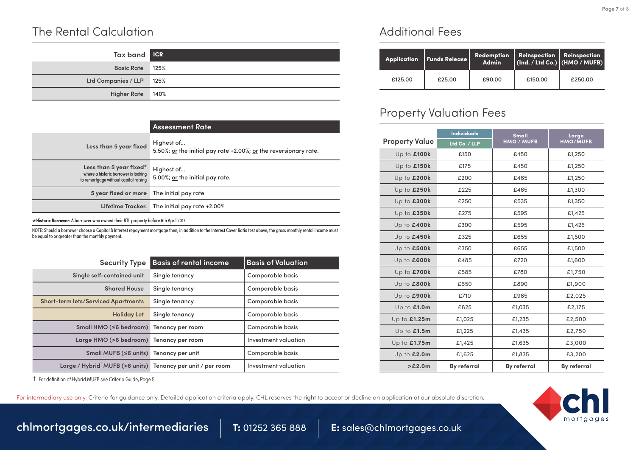#### The Rental Calculation

| Tax band <b>IGR</b>      |  |
|--------------------------|--|
| Basic Rate 125%          |  |
| Ltd Companies / LLP 125% |  |
| Higher Rate 140%         |  |

|                                                                                                          | <b>Assessment Rate</b>                                                         |
|----------------------------------------------------------------------------------------------------------|--------------------------------------------------------------------------------|
| Less than 5 year fixed                                                                                   | Highest of<br>5.50%; or the initial pay rate +2.00%; or the reversionary rate. |
| Less than 5 year fixed*<br>where a historic borrower is looking<br>to remortgage without capital raising | Highest of<br>5.00%; or the initial pay rate.                                  |
| 5 year fixed or more The initial pay rate                                                                |                                                                                |
|                                                                                                          | Lifetime Tracker. The initial pay rate +2.00%                                  |

\***Historic Borrower:** A borrower who owned their BTL property before 6th April 2017

NOTE: Should a borrower choose a Capital & Interest repayment mortgage then, in addition to the Interest Cover Ratio test above, the gross monthly rental income must be equal to or greater than the monthly payment.

| <b>Security Type</b>                                                    | <b>Basis of rental income</b> | <b>Basis of Valuation</b> |
|-------------------------------------------------------------------------|-------------------------------|---------------------------|
| Single self-contained unit                                              | Single tenancy                | Comparable basis          |
| <b>Shared House</b>                                                     | Single tenancy                | <b>Comparable basis</b>   |
| <b>Short-term lets/Serviced Apartments</b>                              | Single tenancy                | <b>Comparable basis</b>   |
| <b>Holiday Let</b>                                                      | Single tenancy                | Comparable basis          |
| Small HMO (≤6 bedroom)                                                  | Tenancy per room              | Comparable basis          |
| Large HMO (>6 bedroom) Tenancy per room                                 |                               | Investment valuation      |
| Small MUFB (≤6 units) Tenancy per unit                                  |                               | Comparable basis          |
| Large / Hybrid <sup>'</sup> MUFB (>6 units) Tenancy per unit / per room |                               | Investment valuation      |

† For definition of Hybrid MUFB see Criteria Guide, Page 5

#### For intermediary use only. Criteria for quidance only. Detailed application criteria apply. CHL reserves the right to accept or decline an application at our absolute discretion.



[chlmortgages.co.uk/intermediaries](http://www.chlmortgages.co.uk) 1: 01252 365 888 E: sales@chlmortgages.co.uk

Additional Fees

|         | Application   Funds Release | Redemption<br><b>Admin</b> | <b>Reinspection   Reinspection</b><br>$\int (Ind. / Ltd Co.) \int (HMO / MUFB)$ |         |
|---------|-----------------------------|----------------------------|---------------------------------------------------------------------------------|---------|
| £125.00 | £25.00                      | £90.00                     | £150.00                                                                         | £250.00 |

#### Property Valuation Fees

|                       | <b>Individuals</b> | Small              | Large<br><b>HMO/MUFB</b> |
|-----------------------|--------------------|--------------------|--------------------------|
| <b>Property Value</b> | Ltd Co. / LLP      | <b>HMO / MUFB</b>  |                          |
| Up to £100k           | £150               | £450               | £1,250                   |
| Up to £150k           | £175               | £450               | £1,250                   |
| Up to £200k           | £200               | £465               | £1,250                   |
| Up to £250k           | £225               | £465               | £1,300                   |
| Up to £300k           | £250               | £535               | £1,350                   |
| Up to £350k           | £275               | £595               | £1,425                   |
| Up to £400k           | £300               | £595               | £1,425                   |
| Up to £450k           | £325               | £655               | £1,500                   |
| Up to £500k           | £350               | £655               | £1,500                   |
| Up to £600k           | £485               | £720               | £1,600                   |
| Up to £700k           | £585               | £780               | £1,750                   |
| Up to £800k           | £650               | £890               | £1,900                   |
| Up to £900k           | £710               | £965               | £2,025                   |
| Up to £1.0m           | £825               | £1,035             | £2,175                   |
| Up to £1.25m          | £1,025             | £1,235             | £2,500                   |
| Up to $£1.5m$         | £1,225             | £1,435             | £2,750                   |
| Up to £1.75m          | £1,425             | £1,635             | £3,000                   |
| Up to £2.0m           | £1,625             | £1,835             | £3,200                   |
| >E2.0m                | <b>By referral</b> | <b>By referral</b> | <b>By referral</b>       |